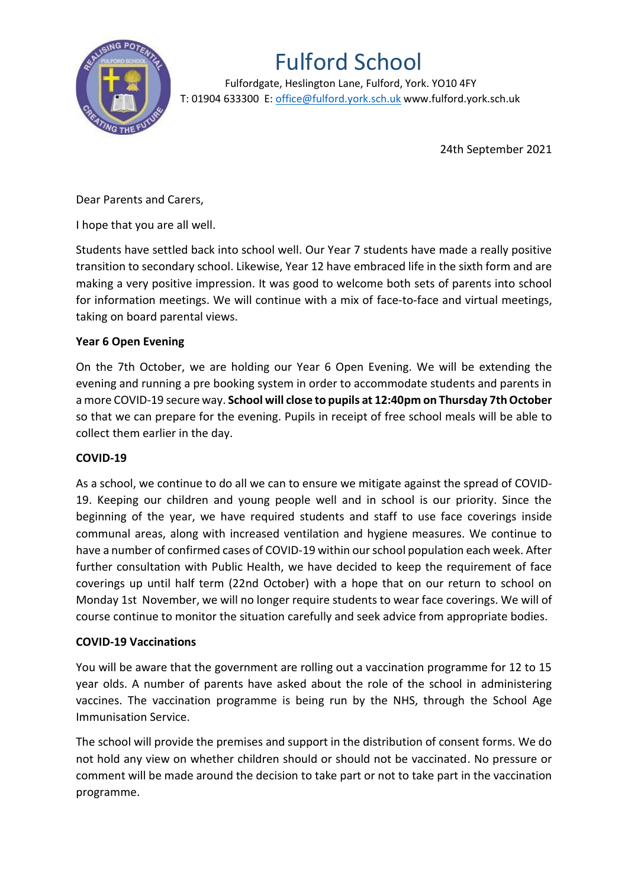

## Fulford School

 Fulfordgate, Heslington Lane, Fulford, York. YO10 4FY T: 01904 633300 E: office@fulford.york.sch.uk www.fulford.york.sch.uk

24th September 2021

Dear Parents and Carers,

I hope that you are all well.

Students have settled back into school well. Our Year 7 students have made a really positive transition to secondary school. Likewise, Year 12 have embraced life in the sixth form and are making a very positive impression. It was good to welcome both sets of parents into school for information meetings. We will continue with a mix of face-to-face and virtual meetings, taking on board parental views.

## **Year 6 Open Evening**

On the 7th October, we are holding our Year 6 Open Evening. We will be extending the evening and running a pre booking system in order to accommodate students and parents in a more COVID-19 secure way. **School will close to pupils at 12:40pm on Thursday 7th October** so that we can prepare for the evening. Pupils in receipt of free school meals will be able to collect them earlier in the day.

## **COVID-19**

As a school, we continue to do all we can to ensure we mitigate against the spread of COVID-19. Keeping our children and young people well and in school is our priority. Since the beginning of the year, we have required students and staff to use face coverings inside communal areas, along with increased ventilation and hygiene measures. We continue to have a number of confirmed cases of COVID-19 within our school population each week. After further consultation with Public Health, we have decided to keep the requirement of face coverings up until half term (22nd October) with a hope that on our return to school on Monday 1st November, we will no longer require students to wear face coverings. We will of course continue to monitor the situation carefully and seek advice from appropriate bodies.

## **COVID-19 Vaccinations**

You will be aware that the government are rolling out a vaccination programme for 12 to 15 year olds. A number of parents have asked about the role of the school in administering vaccines. The vaccination programme is being run by the NHS, through the School Age Immunisation Service.

The school will provide the premises and support in the distribution of consent forms. We do not hold any view on whether children should or should not be vaccinated. No pressure or comment will be made around the decision to take part or not to take part in the vaccination programme.